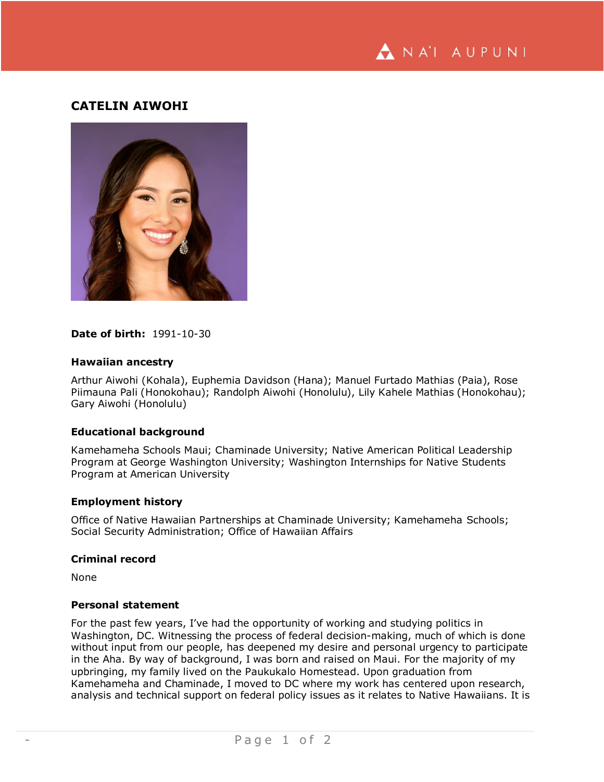

# **CATELIN AIWOHI**



## **Date of birth:** 1991-10-30

#### **Hawaiian ancestry**

Arthur Aiwohi (Kohala), Euphemia Davidson (Hana); Manuel Furtado Mathias (Paia), Rose Piimauna Pali (Honokohau); Randolph Aiwohi (Honolulu), Lily Kahele Mathias (Honokohau); Gary Aiwohi (Honolulu)

## **Educational background**

Kamehameha Schools Maui; Chaminade University; Native American Political Leadership Program at George Washington University; Washington Internships for Native Students Program at American University

#### **Employment history**

Office of Native Hawaiian Partnerships at Chaminade University; Kamehameha Schools; Social Security Administration; Office of Hawaiian Affairs

## **Criminal record**

None

#### **Personal statement**

For the past few years, I've had the opportunity of working and studying politics in Washington, DC. Witnessing the process of federal decision-making, much of which is done without input from our people, has deepened my desire and personal urgency to participate in the Aha. By way of background, I was born and raised on Maui. For the majority of my upbringing, my family lived on the Paukukalo Homestead. Upon graduation from Kamehameha and Chaminade, I moved to DC where my work has centered upon research, analysis and technical support on federal policy issues as it relates to Native Hawaiians. It is